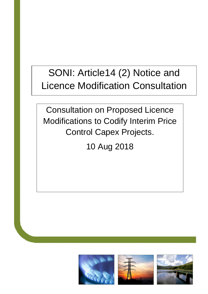# SONI: Article14 (2) Notice and Licence Modification Consultation

Consultation on Proposed Licence Modifications to Codify Interim Price Control Capex Projects.

10 Aug 2018

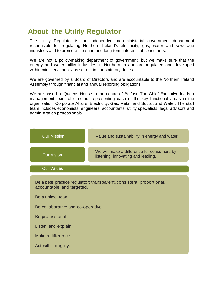### **About the Utility Regulator**

The Utility Regulator is the independent non-ministerial government department responsible for regulating Northern Ireland's electricity, gas, water and sewerage industries and to promote the short and long-term interests of consumers.

We are not a policy-making department of government, but we make sure that the energy and water utility industries in Northern Ireland are regulated and developed within ministerial policy as set out in our statutory duties.

We are governed by a Board of Directors and are accountable to the Northern Ireland Assembly through financial and annual reporting obligations.

We are based at Queens House in the centre of Belfast. The Chief Executive leads a management team of directors representing each of the key functional areas in the organisation: Corporate Affairs; Electricity; Gas; Retail and Social; and Water. The staff team includes economists, engineers, accountants, utility specialists, legal advisors and administration professionals.

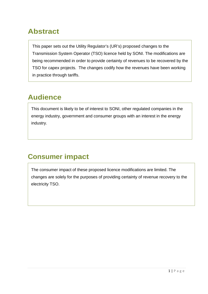### **Abstract**

This paper sets out the Utility Regulator's (UR's) proposed changes to the Transmission System Operator (TSO) licence held by SONI. The modifications are being recommended in order to provide certainty of revenues to be recovered by the TSO for capex projects. The changes codify how the revenues have been working in practice through tariffs.

### **Audience**

This document is likely to be of interest to SONI, other regulated companies in the energy industry, government and consumer groups with an interest in the energy industry.

### **Consumer impact**

The consumer impact of these proposed licence modifications are limited. The changes are solely for the purposes of providing certainty of revenue recovery to the electricity TSO.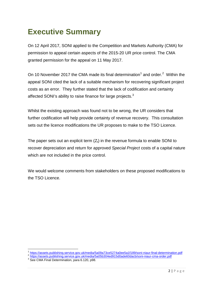## <span id="page-3-3"></span>**Executive Summary**

On 12 April 2017, SONI applied to the Competition and Markets Authority (CMA) for permission to appeal certain aspects of the 2015-20 UR price control. The CMA granted permission for the appeal on 11 May 2017.

On [1](#page-3-0)0 November [2](#page-3-1)017 the CMA made its final determination<sup>1</sup> and order.<sup>2</sup> Within the appeal SONI cited the lack of a suitable mechanism for recovering significant project costs as an error. They further stated that the lack of codification and certainty affected SONI's ability to raise finance for large projects. $3$ 

Whilst the existing approach was found not to be wrong, the UR considers that further codification will help provide certainty of revenue recovery. This consultation sets out the licence modifications the UR proposes to make to the TSO Licence.

The paper sets out an explicit term  $(Z_t)$  in the revenue formula to enable SONI to recover depreciation and return for approved *Special Project* costs of a capital nature which are not included in the price control.

We would welcome comments from stakeholders on these proposed modifications to the TSO Licence.

<span id="page-3-1"></span><span id="page-3-0"></span><sup>&</sup>lt;sup>1</sup> <https://assets.publishing.service.gov.uk/media/5a09a73ce5274a0ee5a1f189/soni-niaur-final-determination.pdf><br><sup>2</sup> <https://assets.publishing.service.gov.uk/media/5a05b304ed915d0ade60dacb/soni-niaur-cma-order.pdf><br><sup>3</sup> See CM

<span id="page-3-2"></span>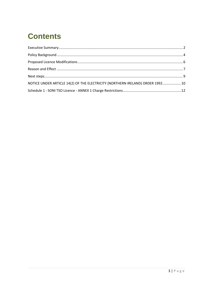## **Contents**

| NOTICE UNDER ARTICLE 14(2) OF THE ELECTRICITY (NORTHERN IRELAND) ORDER 1992 10 |  |
|--------------------------------------------------------------------------------|--|
|                                                                                |  |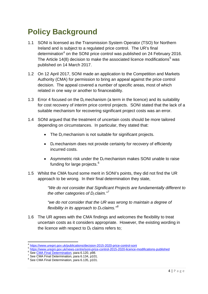## <span id="page-5-0"></span>**Policy Background**

- 1.1 SONI is licensed as the Transmission System Operator (TSO) for Northern Ireland and is subject to a regulated price control. The UR's final determination<sup>[4](#page-5-1)</sup> on the SONI price control was published on 24 February 2016. The Article 14(8) decision to make the associated licence modifications<sup>[5](#page-5-2)</sup> was published on 14 March 2017.
- 1.2 On 12 April 2017, SONI made an application to the Competition and Markets Authority (CMA) for permission to bring an appeal against the price control decision. The appeal covered a number of specific areas, most of which related in one way or another to financeability.
- 1.3 Error 4 focused on the  $D_t$  mechanism (a term in the licence) and its suitability for cost recovery of interim price control projects. SONI stated that the lack of a suitable mechanism for recovering significant project costs was an error.
- 1.4 SONI argued that the treatment of uncertain costs should be more tailored depending on circumstances. In particular, they stated that:
	- The  $D_t$  mechanism is not suitable for significant projects.
	- $D_t$  mechanism does not provide certainty for recovery of efficiently incurred costs.
	- Asymmetric risk under the  $D_t$  mechanism makes SONI unable to raise funding for large projects.<sup>[6](#page-5-3)</sup>
- 1.5 Whilst the CMA found some merit in SONI's points, they did not find the UR approach to be wrong. In their final determination they state,

*"We do not consider that Significant Projects are fundamentally different to the other categories of D<sub>t</sub> claim.*"<sup>[7](#page-5-4)</sup>

*"we do not consider that the UR was wrong to maintain a degree of flexibility in its approach to*  $D_t$  *claims.*<sup> $n^8$  $n^8$ </sup>

1.6 The UR agrees with the CMA findings and welcomes the flexibility to treat uncertain costs as it considers appropriate. However, the existing wording in the licence with respect to  $D_t$  claims refers to;

<span id="page-5-2"></span><span id="page-5-1"></span><sup>&</sup>lt;sup>4</sup> <https://www.uregni.gov.uk/publications/decision-2015-2020-price-control-soni><br>
<sup>5</sup> <https://www.uregni.gov.uk/news-centre/soni-price-control-2015-2020-licence-modifications-published><br>
<sup>6</sup> See <u>CMA Final Determination</u>, p

<span id="page-5-3"></span>

<span id="page-5-4"></span>

<span id="page-5-5"></span>See CMA Final Determination, para 6.135, p101.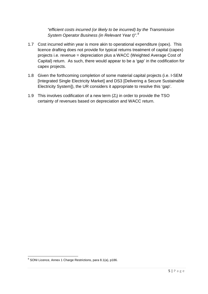*"efficient costs incurred (or likely to be incurred) by the Transmission System Operator Business (in Relevant Year t)".[9](#page-6-0)*

- 1.7 Cost incurred within year is more akin to operational expenditure (opex). This licence drafting does not provide for typical returns treatment of capital (capex) projects i.e. revenue = depreciation plus a WACC (Weighted Average Cost of Capital) return. As such, there would appear to be a 'gap' in the codification for capex projects.
- 1.8 Given the forthcoming completion of some material capital projects (i.e. I-SEM [Integrated Single Electricity Market] and DS3 [Delivering a Secure Sustainable Electricity System]), the UR considers it appropriate to resolve this 'gap'.
- 1.9 This involves codification of a new term  $(Z_t)$  in order to provide the TSO certainty of revenues based on depreciation and WACC return.

<span id="page-6-0"></span><sup>&</sup>lt;sup>9</sup> SONI Licence, Annex 1 Charge Restrictions, para 8.1(a), p186.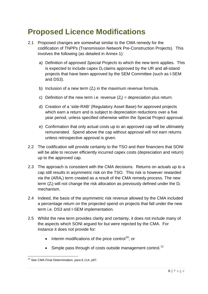## <span id="page-7-0"></span>**Proposed Licence Modifications**

- 2.1 Proposed changes are somewhat similar to the CMA remedy for the codification of TNPPs (Transmission Network Pre-Construction Projects). This involves the following (as detailed in Annex 1):
	- a) Definition of approved *Special Projects* to which the new term applies. This is expected to include capex  $D_t$  claims approved by the UR and all-island projects that have been approved by the SEM Committee (such as I-SEM and DS3).
	- b) Inclusion of a new term  $(Z_t)$  in the maximum revenue formula.
	- c) Definition of the new term i.e. revenue  $(Z_t)$  = depreciation plus return.
	- d) Creation of a 'side-RAB' (Regulatory Asset Base) for approved projects which earn a return and is subject to depreciation reductions over a five year period, unless specified otherwise within the Special Project approval.
	- e) Confirmation that only actual costs up to an approved cap will be ultimately remunerated. Spend above the cap without approval will not earn returns unless retrospective approval is given.
- 2.2 The codification will provide certainty to the TSO and their financiers that SONI will be able to recover efficiently incurred capex costs (depreciation and return) up to the approved cap.
- 2.3 The approach is consistent with the CMA decisions. Returns on actuals up to a cap still results in asymmetric risk on the TSO. This risk is however rewarded via the  $(ARA_t)$  term created as a result of the CMA remedy process. The new term  $(Z_t)$  will not change the risk allocation as previously defined under the  $D_t$ mechanism.
- 2.4 Indeed, the basis of the asymmetric risk revenue allowed by the CMA included a percentage return on the projected spend on projects that fall under the new term i.e. DS3 and I-SEM implementation.
- 2.5 Whilst the new term provides clarity and certainty, it does not include many of the aspects which SONI argued for but were rejected by the CMA. For instance it does not provide for:
	- Interim modifications of the price control<sup>10</sup>; or
	- Simple pass through of costs outside management control.<sup>[11](#page-7-2)</sup>

<span id="page-7-2"></span><span id="page-7-1"></span><sup>&</sup>lt;sup>10</sup> See CMA Final Determination, para 6.114, p97.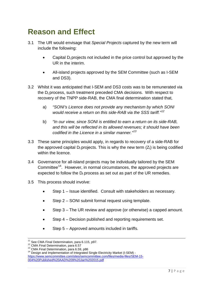### <span id="page-8-0"></span>**Reason and Effect**

- 3.1 The UR would envisage that *Special Projects* captured by the new term will include the following:
	- Capital  $D_t$  projects not included in the price control but approved by the UR in the interim.
	- All-island projects approved by the SEM Committee (such as I-SEM and DS3).
- 3.2 Whilst it was anticipated that I-SEM and DS3 costs was to be remunerated via the  $D_t$  process, such treatment preceded CMA decisions. With respect to recovery of the TNPP side-RAB, the CMA final determination stated that,
	- a) *"SONI's Licence does not provide any mechanism by which SONI would receive a return on this side-RAB via the SSS tariff."[12](#page-8-1)*
	- b) *"In our view, since SONI is entitled to earn a return on its side-RAB, and this will be reflected in its allowed revenues; it should have been codified in the Licence in a similar manner."[13](#page-8-2)*
- 3.3 These same principles would apply, in regards to recovery of a side-RAB for the approved capital  $D_t$  projects. This is why the new term  $(Z_t)$  is being codified within the licence.
- 3.4 Governance for all-island projects may be individually tailored by the SEM Committee<sup>14</sup>. However, in normal circumstances, the approved projects are expected to follow the  $D_t$  process as set out as part of the UR remedies.
- 3.5 This process should involve:
	- Step 1 Issue identified. Consult with stakeholders as necessary.
	- Step 2 SONI submit formal request using template.
	- Step 3 The UR review and approve (or otherwise) a capped amount.
	- Step 4 Decision published and reporting requirements set.
	- Step 5 Approved amounts included in tariffs.

<span id="page-8-3"></span><span id="page-8-2"></span><span id="page-8-1"></span>

<sup>&</sup>lt;sup>11</sup> See CMA Final Determination, para 6.115, p97.<br><sup>12</sup> CMA Final Determination, para 6.57<br><sup>13</sup> CMA Final Determination, para 6.59, p86<br><sup>14</sup> Design and Implementation of Integrated Single Electricity Market (I-SEM) [https://www.semcommittee.com/sites/semcommittee.com/files/media-files/SEM-15-](https://www.semcommittee.com/sites/semcommittee.com/files/media-files/SEM-15-004%20Published%20AAD%209%20Jan%202015.pdf) [004%20Published%20AAD%209%20Jan%202015.pdf](https://www.semcommittee.com/sites/semcommittee.com/files/media-files/SEM-15-004%20Published%20AAD%209%20Jan%202015.pdf)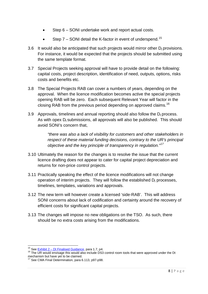- Step 6 SONI undertake work and report actual costs.
- Step  $7$  SONI detail the K-factor in event of underspend.<sup>[15](#page-9-0)</sup>
- 3.6 It would also be anticipated that such projects would mirror other  $D_t$  provisions. For instance, it would be expected that the projects should be submitted using the same template format.
- 3.7 Special Projects seeking approval will have to provide detail on the following: capital costs, project description, identification of need, outputs, options, risks costs and benefits etc.
- 3.8 The Special Projects RAB can cover a numbers of years, depending on the approval. When the licence modification becomes active the special projects opening RAB will be zero. Each subsequent Relevant Year will factor in the closing RAB from the previous period depending on approved claims.<sup>[16](#page-9-1)</sup>
- 3.9 Approvals, timelines and annual reporting should also follow the  $D_t$  process. As with opex  $D_t$  submissions, all approvals will also be published. This should avoid SONI's concern that,

*"there was also a lack of visibility for customers and other stakeholders in respect of these material funding decisions, contrary to the UR's principal objective and the key principle of transparency in regulation." [17](#page-9-2)*

- 3.10 Ultimately the reason for the changes is to resolve the issue that the current licence drafting does not appear to cater for capital project depreciation and returns for non-price control projects.
- 3.11 Practically speaking the effect of the licence modifications will not change operation of interim projects. They will follow the established  $D_t$  processes, timelines, templates, variations and approvals.
- 3.12 The new term will however create a licensed 'side-RAB'. This will address SONI concerns about lack of codification and certainty around the recovery of efficient costs for significant capital projects.
- 3.13 The changes will impose no new obligations on the TSO. As such, there should be no extra costs arising from the modifications.

<span id="page-9-1"></span><span id="page-9-0"></span><sup>&</sup>lt;sup>15</sup> See Exhibit 2 – [Dt Finalised Guidance,](https://www.uregni.gov.uk/sites/uregni/files/media-files/2018-03-09%20Exhibit%202%20-%20Dt%20Finalised%20Guidance_1.pdf) para 1.7, p4.<br><sup>16</sup> The UR would envisage this would also include DS3 control room tools that were approved under the Dt mechanism but have yet to be claimed.

<span id="page-9-2"></span>See CMA Final Determination, para 6.113, p97-p98.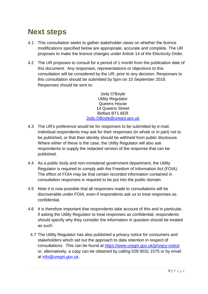### <span id="page-10-0"></span>**Next steps**

- 4.1 This consultation seeks to gather stakeholder views on whether the licence modifications specified below are appropriate, accurate and complete. The UR proposes to make the licence changes under Article 14 of the Electricity Order.
- 4.2 The UR proposes to consult for a period of 1 month from the publication date of this document. Any responses, representations or objections to this consultation will be considered by the UR, prior to any decision. Responses to this consultation should be submitted by 5pm on 10 September 2018. Responses should be sent to:

Jody O'Boyle Utility Regulator Queens House 14 Queens Street Belfast BT1 6ER [Jody.OBoyle@uregni.gov.uk](mailto:Jody.OBoyle@uregni.gov.uk)

- 4.3 The UR's preference would be for responses to be submitted by e-mail. Individual respondents may ask for their responses (in whole or in part) not to be published, or that their identity should be withheld from public disclosure. Where either of these is the case, the Utility Regulator will also ask respondents to supply the redacted version of the response that can be published.
- 4.4 As a public body and non-ministerial government department, the Utility Regulator is required to comply with the Freedom of Information Act (FOIA). The effect of FOIA may be that certain recorded information contained in consultation responses is required to be put into the public domain.
- 4.5 Note it is now possible that all responses made to consultations will be discoverable under FOIA, even if respondents ask us to treat responses as confidential.
- 4.6 It is therefore important that respondents take account of this and in particular, if asking the Utility Regulator to treat responses as confidential, respondents should specify why they consider the information in question should be treated as such.
	- 4.7 The Utility Regulator has also published a privacy notice for consumers and stakeholders which set out the approach to data retention in respect of consultations. This can be found at<https://www.uregni.gov.uk/privacy-notice> or, alternatively, a copy can be obtained by calling 028 9031 1575 or by email at [info@uregni.gov.uk.](mailto:info@uregni.gov.uk)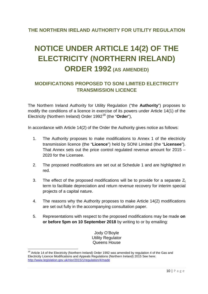#### **THE NORTHERN IRELAND AUTHORITY FOR UTILITY REGULATION**

## <span id="page-11-0"></span>**NOTICE UNDER ARTICLE 14(2) OF THE ELECTRICITY (NORTHERN IRELAND) ORDER 1992 (AS AMENDED)**

#### **MODIFICATIONS PROPOSED TO SONI LIMITED ELECTRICITY TRANSMISSION LICENCE**

The Northern Ireland Authority for Utility Regulation ("the **Authority**") proposes to modify the conditions of a licence in exercise of its powers under Article 14(1) of the Electricity (Northern Ireland) Order 1992[18](#page-11-1) (the "**Order**"),

In accordance with Article 14(2) of the Order the Authority gives notice as follows:

- 1. The Authority proposes to make modifications to Annex 1 of the electricity transmission licence (the "**Licence**") held by SONI Limited (the "**Licensee**"). That Annex sets out the price control regulated revenue amount for 2015 – 2020 for the Licensee.
- 2. The proposed modifications are set out at Schedule 1 and are highlighted in red.
- 3. The effect of the proposed modifications will be to provide for a separate  $Z_t$ term to facilitate depreciation and return revenue recovery for interim special projects of a capital nature.
- 4. The reasons why the Authority proposes to make Article 14(2) modifications are set out fully in the accompanying consultation paper.
- 5. Representations with respect to the proposed modifications may be made **on or before 5pm on 10 September 2018** by writing to or by emailing:

Jody O'Boyle Utility Regulator Queens House

<span id="page-11-1"></span><sup>&</sup>lt;sup>18</sup> Article 14 of the Electricity (Northern Ireland) Order 1992 was amended by regulation 4 of the Gas and Electricity Licence Modifications and Appeals Regulations (Northern Ireland) 2015 See here: <http://www.legislation.gov.uk/nisr/2015/1/regulation/4/made>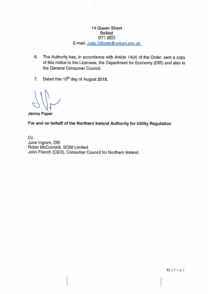#### 14 Queen Street **Belfast** BT1 6ED E-mail: Jody.OBoyle@uregni.gov.uk

- 6. The Authority has, in accordance with Article 14(4) of the Order, sent a copy of this notice to the Licensee, the Department for Economy (DfE) and also to the General Consumer Council.
- Dated this 10<sup>th</sup> day of August 2018.  $\overline{7}$ .

**Jenny Pyper** 

For and on behalf of the Northern Ireland Authority for Utility Regulation

Cc June Ingram, DfE Robin McCormick, SONI Limited John French (CEO), Consumer Council for Northern Ireland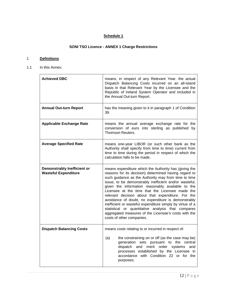#### **Schedule 1**

#### **SONI TSO Licence - ANNEX 1 Charge Restrictions**

#### 1 **Definitions**

1.1 In this Annex:

| <b>Achieved DBC</b>                                        | means, in respect of any Relevant Year, the actual<br>Dispatch Balancing Costs incurred on an all-island<br>basis in that Relevant Year by the Licensee and the<br>Republic of Ireland System Operator and included in<br>the Annual Out-turn Report.                                                                                                                                                                                                                                                                                                                                                                                                       |  |  |  |  |
|------------------------------------------------------------|-------------------------------------------------------------------------------------------------------------------------------------------------------------------------------------------------------------------------------------------------------------------------------------------------------------------------------------------------------------------------------------------------------------------------------------------------------------------------------------------------------------------------------------------------------------------------------------------------------------------------------------------------------------|--|--|--|--|
| <b>Annual Out-turn Report</b>                              | has the meaning given to it in paragraph 1 of Condition<br>39.                                                                                                                                                                                                                                                                                                                                                                                                                                                                                                                                                                                              |  |  |  |  |
| <b>Applicable Exchange Rate</b>                            | means the annual average exchange rate for the<br>conversion of euro into sterling as published by<br>Thomson Reuters.                                                                                                                                                                                                                                                                                                                                                                                                                                                                                                                                      |  |  |  |  |
| <b>Average Specified Rate</b>                              | means one-year LIBOR (or such other bank as the<br>Authority shall specify from time to time) current from<br>time to time during the period in respect of which the<br>calculation falls to be made.                                                                                                                                                                                                                                                                                                                                                                                                                                                       |  |  |  |  |
| Demonstrably Inefficient or<br><b>Wasteful Expenditure</b> | means expenditure which the Authority has (giving the<br>reasons for its decision) determined having regard to<br>such guidance as the Authority may from time to time<br>issue, to be demonstrably inefficient and/or wasteful,<br>given the information reasonably available to the<br>Licensee at the time that the Licensee made the<br>relevant decision about that expenditure. For the<br>avoidance of doubt, no expenditure is demonstrably<br>inefficient or wasteful expenditure simply by virtue of a<br>statistical or quantitative analysis that compares<br>aggregated measures of the Licensee's costs with the<br>costs of other companies. |  |  |  |  |
| <b>Dispatch Balancing Costs</b>                            | means costs relating to or incurred in respect of:<br>the constraining on or off (as the case may be)<br>(a)<br>generation sets pursuant to the central<br>dispatch and merit order<br>systems<br>and<br>processes established by the Licensee<br>in<br>accordance with Condition 22 or for the<br>purposes;                                                                                                                                                                                                                                                                                                                                                |  |  |  |  |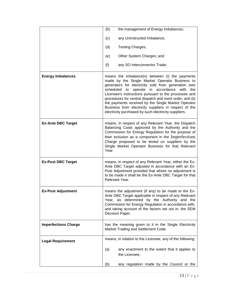|                             | the management of Energy Imbalances;<br>(b)                                                                                                                                                                                                                                                                                                                                                                                                                                                                              |
|-----------------------------|--------------------------------------------------------------------------------------------------------------------------------------------------------------------------------------------------------------------------------------------------------------------------------------------------------------------------------------------------------------------------------------------------------------------------------------------------------------------------------------------------------------------------|
|                             | any Uninstructed Imbalance;<br>(c)                                                                                                                                                                                                                                                                                                                                                                                                                                                                                       |
|                             | Testing Charges;<br>(d)                                                                                                                                                                                                                                                                                                                                                                                                                                                                                                  |
|                             | Other System Charges; and<br>(e)                                                                                                                                                                                                                                                                                                                                                                                                                                                                                         |
|                             | (f)<br>any SO Interconnector Trade.                                                                                                                                                                                                                                                                                                                                                                                                                                                                                      |
| <b>Energy Imbalances</b>    | means the imbalance(s) between (i) the payments<br>made by the Single Market Operator Business to<br>generators for electricity sold from generation sets<br>accordance<br>scheduled<br>operate<br>with<br>the<br>in<br>to<br>Licensee's instructions pursuant to the processes and<br>procedures for central dispatch and merit order, and (ii)<br>the payments received by the Single Market Operator<br>Business from electricity suppliers in respect of the<br>electricity purchased by such electricity suppliers. |
| <b>Ex-Ante DBC Target</b>   | means, in respect of any Relevant Year, the Dispatch<br>Balancing Costs approved by the Authority and the<br>Commission for Energy Regulation for the purpose of<br>their inclusion as a component in the Imperfections<br>Charge proposed to be levied on suppliers by the<br>Single Market Operator Business for that Relevant<br>Year.                                                                                                                                                                                |
| <b>Ex-Post DBC Target</b>   | means, in respect of any Relevant Year, either the Ex-<br>Ante DBC Target adjusted in accordance with an Ex-<br>Post Adjustment provided that where no adjustment is<br>to be made it shall be the Ex-Ante DBC Target for that<br>Relevant Year.                                                                                                                                                                                                                                                                         |
| <b>Ex-Post Adjustment</b>   | means the adjustment (if any) to be made to the Ex-<br>Ante DBC Target applicable in respect of any Relevant<br>Year, as determined by the Authority and the<br>Commission for Energy Regulation in accordance with,<br>and taking account of the factors set out in, the SEM<br>Decision Paper.                                                                                                                                                                                                                         |
| <b>Imperfections Charge</b> | has the meaning given to it in the Single Electricity<br>Market Trading and Settlement Code.                                                                                                                                                                                                                                                                                                                                                                                                                             |
| <b>Legal Requirement</b>    | means, in relation to the Licensee, any of the following:                                                                                                                                                                                                                                                                                                                                                                                                                                                                |
|                             | (a)<br>any enactment to the extent that it applies to<br>the Licensee;                                                                                                                                                                                                                                                                                                                                                                                                                                                   |
|                             | (b)<br>any regulation made by the Council or the                                                                                                                                                                                                                                                                                                                                                                                                                                                                         |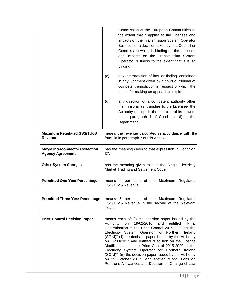|                                                                   | Commission of the European Communities to<br>the extent that it applies to the Licensee and<br>impacts on the Transmission System Operator<br>Business or a decision taken by that Council or<br>Commission which is binding on the Licensee<br>and impacts on the Transmission System<br>Operator Business to the extent that it is so<br>binding;                                                                                                                                                                                                                                                                              |  |  |  |  |
|-------------------------------------------------------------------|----------------------------------------------------------------------------------------------------------------------------------------------------------------------------------------------------------------------------------------------------------------------------------------------------------------------------------------------------------------------------------------------------------------------------------------------------------------------------------------------------------------------------------------------------------------------------------------------------------------------------------|--|--|--|--|
|                                                                   | any interpretation of law, or finding, contained<br>(c)<br>in any judgment given by a court or tribunal of<br>competent jurisdiction in respect of which the<br>period for making an appeal has expired;                                                                                                                                                                                                                                                                                                                                                                                                                         |  |  |  |  |
|                                                                   | (d)<br>any direction of a competent authority other<br>than, insofar as it applies to the Licensee, the<br>Authority (except in the exercise of its powers<br>under paragraph 4 of Condition 16) or the<br>Department.                                                                                                                                                                                                                                                                                                                                                                                                           |  |  |  |  |
| <b>Maximum Regulated SSS/TUoS</b><br>Revenue                      | means the revenue calculated in accordance with the<br>formula in paragraph 2 of this Annex.                                                                                                                                                                                                                                                                                                                                                                                                                                                                                                                                     |  |  |  |  |
| <b>Moyle Interconnector Collection</b><br><b>Agency Agreement</b> | has the meaning given to that expression in Condition<br>37.                                                                                                                                                                                                                                                                                                                                                                                                                                                                                                                                                                     |  |  |  |  |
| <b>Other System Charges</b>                                       | has the meaning given to it in the Single Electricity<br>Market Trading and Settlement Code.                                                                                                                                                                                                                                                                                                                                                                                                                                                                                                                                     |  |  |  |  |
| <b>Permitted One-Year Percentage</b>                              | means 4 per cent of the Maximum<br>Regulated<br>SSS/TUoS Revenue.                                                                                                                                                                                                                                                                                                                                                                                                                                                                                                                                                                |  |  |  |  |
| <b>Permitted Three-Year Percentage</b>                            | means 5 per cent of the Maximum Regulated<br>SSS/TUoS Revenue in the second of the Relevant<br>Years.                                                                                                                                                                                                                                                                                                                                                                                                                                                                                                                            |  |  |  |  |
| <b>Price Control Decision Paper</b>                               | means each of: (i) the decision paper issued by the<br>19/02/2016<br>and<br>entitled<br>"Final<br>Authority<br>on<br>Determination to the Price Control 2015-2020 for the<br>Electricity System Operator for Northern Ireland<br>(SONI)" (ii) the decision paper issued by the Authority<br>on 14/03/2017 and entitled "Decision on the Licence<br>Modifications for the Price Control 2015-2020 of the<br>Electricity System Operator for Northern Ireland<br>(SONI)"; (iii) the decision paper issued by the Authority<br>on 19 October 2017 and entitled "Conclusions on<br>Pensions Allowances and Decision on Change of Law |  |  |  |  |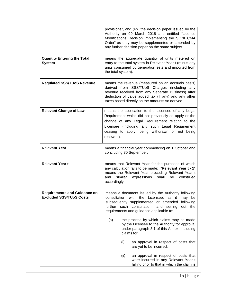|                                                                       | provisions", and (iv) the decision paper issued by the<br>Authority on 09 March 2018 and entitled "Licence<br>Modifications Decision implementing the SONI CMA<br>Order" as they may be supplemented or amended by<br>any further decision paper on the same subject.          |  |  |  |  |
|-----------------------------------------------------------------------|--------------------------------------------------------------------------------------------------------------------------------------------------------------------------------------------------------------------------------------------------------------------------------|--|--|--|--|
| <b>Quantity Entering the Total</b><br><b>System</b>                   | means the aggregate quantity of units metered on<br>entry to the total system in Relevant Year t (minus any<br>units consumed by generation sets and imported from<br>the total system).                                                                                       |  |  |  |  |
| <b>Regulated SSS/TUoS Revenue</b>                                     | means the revenue (measured on an accruals basis)<br>derived from SSS/TUoS Charges (including any<br>revenue received from any Separate Business) after<br>deduction of value added tax (if any) and any other<br>taxes based directly on the amounts so derived.              |  |  |  |  |
| <b>Relevant Change of Law</b>                                         | means the application to the Licensee of any Legal<br>Requirement which did not previously so apply or the<br>change of any Legal Requirement relating to the<br>Licensee (including any such Legal Requirement<br>ceasing to apply, being withdrawn or not being<br>renewed). |  |  |  |  |
| <b>Relevant Year</b>                                                  | means a financial year commencing on 1 October and<br>concluding 30 September.                                                                                                                                                                                                 |  |  |  |  |
| <b>Relevant Year t</b>                                                | means that Relevant Year for the purposes of which<br>any calculation falls to be made; "Relevant Year t - 1"<br>means the Relevant Year preceding Relevant Year t<br>similar<br>expressions<br>shall<br>be<br>and<br>construed<br>accordingly.                                |  |  |  |  |
| <b>Requirements and Guidance on</b><br><b>Excluded SSS/TUoS Costs</b> | means a document issued by the Authority following<br>consultation with the Licensee, as it<br>may be<br>subsequently supplemented or amended following<br>further such consultation,<br>and setting<br>out the<br>requirements and guidance applicable to:                    |  |  |  |  |
|                                                                       | the process by which claims may be made<br>(a)<br>by the Licensee to the Authority for approval<br>under paragraph 8.1 of this Annex, including<br>claims for:                                                                                                                 |  |  |  |  |
|                                                                       | (i)<br>an approval in respect of costs that<br>are yet to be incurred;                                                                                                                                                                                                         |  |  |  |  |
|                                                                       | (ii)<br>an approval in respect of costs that<br>were incurred in any Relevant Year t<br>falling prior to that in which the claim is                                                                                                                                            |  |  |  |  |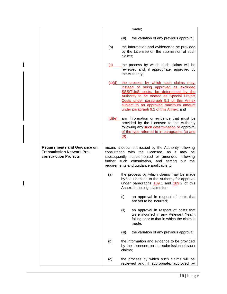|                                                                                                  | made;              |                                                                                                                                                                                                                                                                                                    |  |  |  |
|--------------------------------------------------------------------------------------------------|--------------------|----------------------------------------------------------------------------------------------------------------------------------------------------------------------------------------------------------------------------------------------------------------------------------------------------|--|--|--|
|                                                                                                  |                    | (iii)<br>the variation of any previous approval;                                                                                                                                                                                                                                                   |  |  |  |
|                                                                                                  | (b)                | the information and evidence to be provided<br>by the Licensee on the submission of such<br>claims;                                                                                                                                                                                                |  |  |  |
|                                                                                                  | (c)                | the process by which such claims will be<br>reviewed and, if appropriate, approved by<br>the Authority;                                                                                                                                                                                            |  |  |  |
|                                                                                                  | <del>(c)</del> (d) | the process by which such claims may,<br>instead of being approved as excluded<br>SSS/TUoS costs, be determined by the<br>Authority to be treated as Special Project<br>Costs under paragraph 9.1 of this Annex<br>subject to an approved maximum amount<br>under paragraph 9.2 of this Annex; and |  |  |  |
|                                                                                                  |                    | $\frac{d}{dx}$ (e) any information or evidence that must be<br>provided by the Licensee to the Authority<br>following any such determination or approval<br>of the type referred to in paragraphs (c) and<br><u>(d)</u>                                                                            |  |  |  |
| <b>Requirements and Guidance on</b><br><b>Transmission Network Pre-</b><br>construction Projects |                    | means a document issued by the Authority following<br>consultation with the Licensee, as it may be<br>subsequently supplemented or amended following<br>further such consultation, and setting<br>out the<br>requirements and guidance applicable to:                                              |  |  |  |
|                                                                                                  | (a)                | the process by which claims may be made<br>by the Licensee to the Authority for approval<br>under paragraphs 109.1 and 109.2 of this<br>Annex, including- claims for:                                                                                                                              |  |  |  |
|                                                                                                  |                    | (i)<br>an approval in respect of costs that<br>are yet to be incurred;                                                                                                                                                                                                                             |  |  |  |
|                                                                                                  |                    | (ii)<br>an approval in respect of costs that<br>were incurred in any Relevant Year t<br>falling prior to that in which the claim is<br>made;                                                                                                                                                       |  |  |  |
|                                                                                                  |                    | (iii)<br>the variation of any previous approval;                                                                                                                                                                                                                                                   |  |  |  |
|                                                                                                  | (b)                | the information and evidence to be provided<br>by the Licensee on the submission of such<br>claims;                                                                                                                                                                                                |  |  |  |
|                                                                                                  | (c)                | the process by which such claims will be<br>reviewed and, if appropriate, approved by                                                                                                                                                                                                              |  |  |  |

 $\overline{\phantom{a}}$ 

 $\overline{\phantom{a}}$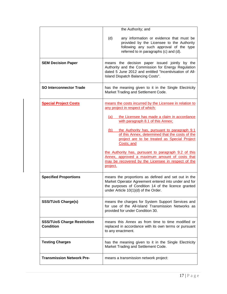|                                                        | the Authority; and                                                                                                                                                                                         |  |  |  |  |  |
|--------------------------------------------------------|------------------------------------------------------------------------------------------------------------------------------------------------------------------------------------------------------------|--|--|--|--|--|
|                                                        | (d)<br>any information or evidence that must be<br>provided by the Licensee to the Authority<br>following any such approval of the type<br>referred to in paragraphs (c) and (d).                          |  |  |  |  |  |
| <b>SEM Decision Paper</b>                              | means the decision paper issued jointly by the<br>Authority and the Commission for Energy Regulation<br>dated 5 June 2012 and entitled "Incentivisation of All-<br>Island Dispatch Balancing Costs".       |  |  |  |  |  |
| <b>SO Interconnector Trade</b>                         | has the meaning given to it in the Single Electricity<br>Market Trading and Settlement Code.                                                                                                               |  |  |  |  |  |
| <b>Special Project Costs</b>                           | means the costs incurred by the Licensee in relation to<br>any project in respect of which:                                                                                                                |  |  |  |  |  |
|                                                        | the Licensee has made a claim in accordance<br>(a)<br>with paragraph 8.1 of this Annex;                                                                                                                    |  |  |  |  |  |
|                                                        | the Authority has, pursuant to paragraph 9.1<br>(b)<br>of this Annex, determined that the costs of the<br>project are to be treated as Special Project<br>Costs; and                                       |  |  |  |  |  |
|                                                        | the Authority has, pursuant to paragraph 9.2 of this<br>Annex, approved a maximum amount of costs that<br>may be recovered by the Licensee in respect of the<br>project.                                   |  |  |  |  |  |
| <b>Specified Proportions</b>                           | means the proportions as defined and set out in the<br>Market Operator Agreement entered into under and for<br>the purposes of Condition 14 of the licence granted<br>under Article 10(1)(d) of the Order. |  |  |  |  |  |
| <b>SSS/TUoS Charge(s)</b>                              | means the charges for System Support Services and<br>for use of the All-Island Transmission Networks as<br>provided for under Condition 30.                                                                |  |  |  |  |  |
| <b>SSS/TUoS Charge Restriction</b><br><b>Condition</b> | means this Annex as from time to time modified or<br>replaced in accordance with its own terms or pursuant<br>to any enactment.                                                                            |  |  |  |  |  |
| <b>Testing Charges</b>                                 | has the meaning given to it in the Single Electricity<br>Market Trading and Settlement Code.                                                                                                               |  |  |  |  |  |
| <b>Transmission Network Pre-</b>                       | means a transmission network project:                                                                                                                                                                      |  |  |  |  |  |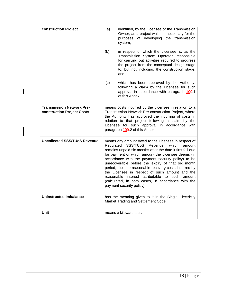| construction Project                                           | identified, by the Licensee or the Transmission<br>(a)<br>Owner, as a project which is necessary for the<br>purposes of developing the transmission<br>system;                                                                                                                                                                                                                                                                                                                                                                                                                                     |                                                                                                                                                          |  |  |  |  |
|----------------------------------------------------------------|----------------------------------------------------------------------------------------------------------------------------------------------------------------------------------------------------------------------------------------------------------------------------------------------------------------------------------------------------------------------------------------------------------------------------------------------------------------------------------------------------------------------------------------------------------------------------------------------------|----------------------------------------------------------------------------------------------------------------------------------------------------------|--|--|--|--|
|                                                                | (b)<br>in respect of which the Licensee is, as the<br>Transmission System Operator, responsible<br>for carrying out activities required to progress<br>the project from the conceptual design stage<br>to, but not including, the construction stage;<br>and                                                                                                                                                                                                                                                                                                                                       |                                                                                                                                                          |  |  |  |  |
|                                                                | (c)                                                                                                                                                                                                                                                                                                                                                                                                                                                                                                                                                                                                | which has been approved by the Authority,<br>following a claim by the Licensee for such<br>approval in accordance with paragraph 109.1<br>of this Annex. |  |  |  |  |
| <b>Transmission Network Pre-</b><br>construction Project Costs | means costs incurred by the Licensee in relation to a<br>Transmission Network Pre-construction Project, where<br>the Authority has approved the incurring of costs in<br>relation to that project following a claim by the<br>Licensee for such approval in accordance with<br>paragraph 109.2 of this Annex.                                                                                                                                                                                                                                                                                      |                                                                                                                                                          |  |  |  |  |
| <b>Uncollected SSS/TUoS Revenue</b>                            | means any amount owed to the Licensee in respect of<br>Regulated<br>SSS/TUoS<br>Revenue,<br>which<br>amount<br>remains unpaid six months after the date it first fell due<br>for payment or which amount the Licensee deems (in<br>accordance with the payment security policy) to be<br>unrecoverable before the expiry of that six month<br>period; plus the reasonable recovery costs incurred by<br>the Licensee in respect of such amount and the<br>interest attributable to such<br>reasonable<br>amount<br>(calculated, in both cases, in accordance with the<br>payment security policy). |                                                                                                                                                          |  |  |  |  |
| <b>Uninstructed Imbalance</b>                                  |                                                                                                                                                                                                                                                                                                                                                                                                                                                                                                                                                                                                    | has the meaning given to it in the Single Electricity<br>Market Trading and Settlement Code.                                                             |  |  |  |  |
| Unit                                                           |                                                                                                                                                                                                                                                                                                                                                                                                                                                                                                                                                                                                    | means a kilowatt hour.                                                                                                                                   |  |  |  |  |

 $\mathsf I$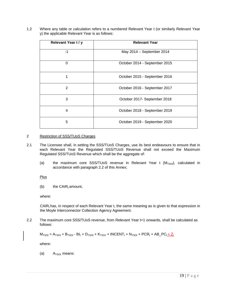1.2 Where any table or calculation refers to a numbered Relevant Year t (or similarly Relevant Year y) the applicable Relevant Year is as follows:

| Relevant Year t / y | <b>Relevant Year</b>          |  |  |  |  |
|---------------------|-------------------------------|--|--|--|--|
| -1                  | May 2014 - September 2014     |  |  |  |  |
| 0                   | October 2014 - September 2015 |  |  |  |  |
|                     | October 2015 - September 2016 |  |  |  |  |
| 2                   | October 2016 - September 2017 |  |  |  |  |
| 3                   | October 2017- September 2018  |  |  |  |  |
| 4                   | October 2018 - September 2019 |  |  |  |  |
| 5                   | October 2019 - September 2020 |  |  |  |  |

#### 2 Restriction of SSS/TUoS Charges

- 2.1 The Licensee shall, in setting the SSS/TUoS Charges, use its best endeavours to ensure that in each Relevant Year the Regulated SSS/TUoS Revenue shall not exceed the Maximum Regulated SSS/TUoS Revenue which shall be the aggregate of:
	- (a) the maximum core SSS/TUoS revenue in Relevant Year t  $(M_{TSOt})$ , calculated in accordance with paragraph 2.2 of this Annex;

**Plus** 

(b) the CAIR $<sub>t</sub>$  amount,</sub>

where:

 $CAIR<sub>t</sub>$  has, in respect of each Relevant Year t, the same meaning as is given to that expression in the Moyle Interconnector Collection Agency Agreement.

2.2 The maximum core SSS/TUoS revenue, from Relevant Year t=1 onwards, shall be calculated as follows:

```
M_{TSOt} = A_{TSOt} + B_{TSOt} - B I_t + D_{TSOt} + K_{TSOt} + INCENT_t + N_{TSOt} + PCR_t + AB\_PC_t + Z_t
```
where:

(a)  $A_{TSOt}$  means: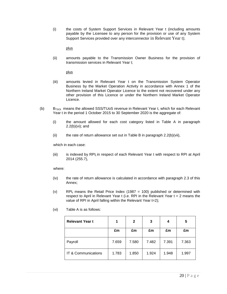(i) the costs of System Support Services in Relevant Year t (including amounts payable by the Licensee to any person for the provision or use of any System Support Services provided over any interconnector in Relevant Year t);

plus

(ii) amounts payable to the Transmission Owner Business for the provision of transmission services in Relevant Year t;

plus

- (iii) amounts levied in Relevant Year t on the Transmission System Operator Business by the Market Operation Activity in accordance with Annex 1 of the Northern Ireland Market Operator Licence to the extent not recovered under any other provision of this Licence or under the Northern Ireland Market Operator Licence.
- (b)  $B_{TSOt}$  means the allowed SSS/TUoS revenue in Relevant Year t, which for each Relevant Year t in the period 1 October 2015 to 30 September 2020 is the aggregate of:
	- (i) the amount allowed for each cost category listed in Table A in paragraph 2.2(b)(vi); and
	- (ii) the rate of return allowance set out in Table B in paragraph  $2.2(b)(vi)$ ,

which in each case:

(iii) is indexed by  $RPI_t$  in respect of each Relevant Year t with respect to RPI at April 2014 (255.7),

where:

- (iv) the rate of return allowance is calculated in accordance with paragraph 2.3 of this Annex;
- (v) RPI<sub>t</sub> means the Retail Price Index (1987 = 100) published or determined with respect to April in Relevant Year  $t$  (i.e. RPI in the Relevant Year  $t = 2$  means the value of RPI in April falling within the Relevant Year t=2);

| <b>Relevant Year t</b> | 1     | $\mathbf{2}$ | 3     | 4     | 5     |
|------------------------|-------|--------------|-------|-------|-------|
|                        | £m    | £m           | £m    | £m    | £m    |
| Payroll                | 7.659 | 7.580        | 7.482 | 7.391 | 7.363 |
| IT & Communications    | 1.783 | 1.850        | 1.924 | 1.948 | 1.997 |

(vi) Table A is as follows: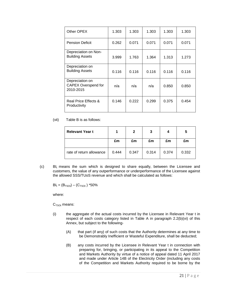| Other OPEX                                                 | 1.303 | 1.303 | 1.303 | 1.303 | 1.303 |
|------------------------------------------------------------|-------|-------|-------|-------|-------|
| <b>Pension Deficit</b>                                     | 0.262 | 0.071 | 0.071 | 0.071 | 0.071 |
| Depreciation on Non-<br><b>Building Assets</b>             | 3.999 | 1.763 | 1.364 | 1.313 | 1.273 |
| Depreciation on<br><b>Building Assets</b>                  | 0.116 | 0.116 | 0.116 | 0.116 | 0.116 |
| Depreciation on<br><b>CAPEX Overspend for</b><br>2010-2015 | n/a   | n/a   | n/a   | 0.850 | 0.850 |
| Real Price Effects &<br>Productivity                       | 0.146 | 0.222 | 0.299 | 0.375 | 0.454 |

(vii) Table B is as follows:

| <b>Relevant Year t</b>   |       | 2     | 3     |       | b     |
|--------------------------|-------|-------|-------|-------|-------|
|                          | £m    | £m    | £m    | £m    | £m    |
| rate of return allowance | 0.444 | 0.347 | 0.314 | 0.374 | 0.332 |

 $\text{Cl}_1$  BI<sub>t</sub> means the sum which is designed to share equally, between the Licensee and customers, the value of any outperformance or underperformance of the Licensee against the allowed SSS/TUoS revenue and which shall be calculated as follows:

 $BI_t = (B_{TSOt}) - (C_{TSOt})$  \*50%

where:

 $C<sub>TSOt</sub>$  means:

- (i) the aggregate of the actual costs incurred by the Licensee in Relevant Year t in respect of each costs category listed in Table A in paragraph 2.2(b)(vi) of this Annex, but subject to the following-
	- (A) that part (if any) of such costs that the Authority determines at any time to be Demonstrably Inefficient or Wasteful Expenditure, shall be deducted;
	- (B) any costs incurred by the Licensee in Relevant Year t in connection with preparing for, bringing, or participating in its appeal to the Competition and Markets Authority by virtue of a notice of appeal dated 11 April 2017 and made under Article 14B of the Electricity Order (including any costs of the Competition and Markets Authority required to be borne by the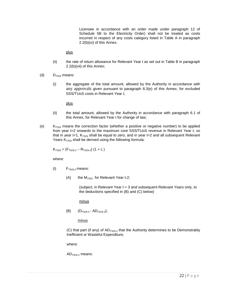Licensee in accordance with an order made under paragraph 12 of Schedule 5B to the Electricity Order) shall not be treated as costs incurred in respect of any costs category listed in Table A in paragraph 2.2(b)(vi) of this Annex.

plus

- (ii) the rate of return allowance for Relevant Year t as set out in Table B in paragraph 2.2(b)(vii) of this Annex;
- (d)  $D_{TSOt}$  means:
	- (i) the aggregate of the total amount, allowed by the Authority in accordance with any approvals given pursuant to paragraph 8.3(e) of this Annex, for excluded SSS/TUoS costs in Relevant Year t;

plus

- (ii) the total amount, allowed by the Authority in accordance with paragraph 6.1 of this Annex, for Relevant Year t for change of law;
- (e)  $K_{TSOt}$  means the correction factor (whether a positive or negative number) to be applied from year t=2 onwards to the maximum core SSS/TUoS revenue in Relevant Year t, so that in year t=1,  $K<sub>TSOt</sub>$  shall be equal to zero, and in year t=2 and all subsequent Relevant Years  $K<sub>TSOt</sub>$  shall be derived using the following formula:

 $K<sub>TSOt</sub> = (F<sub>TSOt-2</sub> - R<sub>TSOt-2</sub>) (1 + I<sub>t</sub>)$ 

where:

- (i)  $F_{TSOt-2}$  means:
	- (A) the  $M<sub>TSOt</sub>$  for Relevant Year t-2;

(subject, in Relevant Year t = 3 and subsequent Relevant Years only, to the deductions specified in (B) and (C) below)

minus

(B)  $(D_{TSOt-2} - AD_{TSOt-2});$ 

minus

(C) that part (if any) of  $AD_{TSOt-2}$  that the Authority determines to be Demonstrably Inefficient or Wasteful Expenditure,

where:

 $AD<sub>TSOt-2</sub>$  means: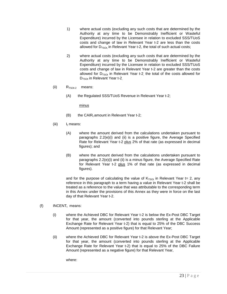- 1) where actual costs (excluding any such costs that are determined by the Authority at any time to be Demonstrably Inefficient or Wasteful Expenditure) incurred by the Licensee in relation to excluded SSS/TUoS costs and change of law in Relevant Year t-2 are less than the costs allowed for  $D_{TSOL}$  in Relevant Year t-2, the total of such actual costs;
- 2) where actual costs (excluding any such costs that are determined by the Authority at any time to be Demonstrably Inefficient or Wasteful Expenditure) incurred by the Licensee in relation to excluded SSS/TUoS costs and change of law in Relevant Year t-2 are greater than the costs allowed for  $D_{TSOt}$  in Relevant Year t-2, the total of the costs allowed for  $D_{TSOt}$  in Relevant Year t-2
- (ii)  $R_{TSOt-2}$  means:
	- (A) the Regulated SSS/TUoS Revenue in Relevant Year t-2;

minus

- $(B)$  the CAIR<sub>t</sub> amount in Relevant Year t-2;
- $(iii)$   $I_t$  means:
	- (A) where the amount derived from the calculations undertaken pursuant to paragraphs 2.2(e)(i) and (ii) is a positive figure, the Average Specified Rate for Relevant Year t-2 plus 2% of that rate (as expressed in decimal figures); and
	- (B) where the amount derived from the calculations undertaken pursuant to paragraphs 2.2(e)(i) and (ii) is a minus figure, the Average Specified Rate for Relevant Year t-2 plus 1% of that rate (as expressed in decimal figures).

and for the purpose of calculating the value of  $K_{TSOt}$  in Relevant Year t= 2, any reference in this paragraph to a term having a value in Relevant Year t-2 shall be treated as a reference to the value that was attributable to the corresponding term in this Annex under the provisions of this Annex as they were in force on the last day of that Relevant Year t-2.

- (f)  $INCENT<sub>t</sub>$  means:
	- (i) where the Achieved DBC for Relevant Year t-2 is below the Ex-Post DBC Target for that year, the amount (converted into pounds sterling at the Applicable Exchange Rate for Relevant Year t-2) that is equal to 25% of the DBC Success Amount (represented as a positive figure) for that Relevant Year;
	- (ii) where the Achieved DBC for Relevant Year t-2 is above the Ex-Post DBC Target for that year, the amount (converted into pounds sterling at the Applicable Exchange Rate for Relevant Year t-2) that is equal to 25% of the DBC Failure Amount (represented as a negative figure) for that Relevant Year,

where: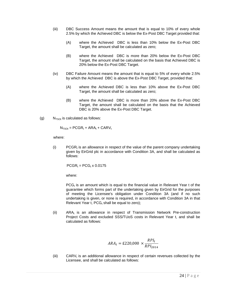- (iii) DBC Success Amount means the amount that is equal to 10% of every whole 2.5% by which the Achieved DBC is below the Ex-Post DBC Target provided that:
	- (A) where the Achieved DBC is less than 10% below the Ex-Post DBC Target, the amount shall be calculated as zero;
	- (B) where the Achieved DBC is more than 20% below the Ex-Post DBC Target, the amount shall be calculated on the basis that Achieved DBC is 20% below the Ex-Post DBC Target.
- (iv) DBC Failure Amount means the amount that is equal to 5% of every whole 2.5% by which the Achieved DBC is above the Ex-Post DBC Target, provided that:
	- (A) where the Achieved DBC is less than 10% above the Ex-Post DBC Target, the amount shall be calculated as zero;
	- (B) where the Achieved DBC is more than 20% above the Ex-Post DBC Target, the amount shall be calculated on the basis that the Achieved DBC is 20% above the Ex-Post DBC Target.
- (g)  $N_{TSOt}$  is calculated as follows:

 $N_{TSOt}$  = PCGR<sub>t</sub> + ARA<sub>t</sub> + CARV<sub>t</sub>

where:

(i) PCGR<sub>t</sub> is an allowance in respect of the value of the parent company undertaking given by EirGrid plc in accordance with Condition 3A, and shall be calculated as follows:

 $PCGR_t = PCG_t \times 0.0175$ 

where:

 $PCG<sub>t</sub>$  is an amount which is equal to the financial value in Relevant Year t of the guarantee which forms part of the undertaking given by EirGrid for the purposes of meeting the Licensee's obligation under Condition 3A (and if no such undertaking is given, or none is required, in accordance with Condition 3A in that Relevant Year t,  $PCG_t$  shall be equal to zero);

(ii)  $ARA_t$  is an allowance in respect of Transmission Network Pre-construction Project Costs and excluded SSS/TUoS costs in Relevant Year t, and shall be calculated as follows:

$$
ARA_t = \pounds 220,000 \times \frac{RPI_t}{RPI_{2014}}
$$

(iii) CARV<sub>t</sub> is an additional allowance in respect of certain revenues collected by the Licensee, and shall be calculated as follows: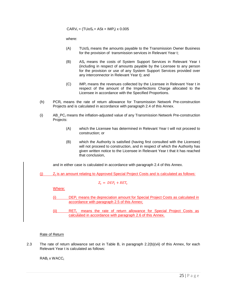$CARY_t = (TUoS_t + ASt + IMP_t) \times 0.005$ 

where:

- $(A)$  TUoS<sub>t</sub> means the amounts payable to the Transmission Owner Business for the provision of transmission services in Relevant Year t;
- (B) ASt means the costs of System Support Services in Relevant Year t (including in respect of amounts payable by the Licensee to any person for the provision or use of any System Support Services provided over any interconnector in Relevant Year t); and
- $(C)$  IMP<sub>t</sub> means the revenues collected by the Licensee in Relevant Year t in respect of the amount of the Imperfections Charge allocated to the Licensee in accordance with the Specified Proportions.
- $(h)$  PCR<sub>t</sub> means the rate of return allowance for Transmission Network Pre-construction Projects and is calculated in accordance with paragraph 2.4 of this Annex.
- $(i)$  AB PC<sub>t</sub> means the inflation-adjusted value of any Transmission Network Pre-construction Projects:
	- (A) which the Licensee has determined in Relevant Year t will not proceed to construction; or
	- (B) which the Authority is satisfied (having first consulted with the Licensee) will not proceed to construction, and in respect of which the Authority has given written notice to the Licensee in Relevant Year t that it has reached that conclusion,

and in either case is calculated in accordance with paragraph 2.4 of this Annex.

 $(i)$   $Z_t$  is an amount relating to Approved Special Project Costs and is calculated as follows:

$$
Z_t = DEP_t + RET_t
$$

Where:

- $(i)$  DEP<sub>t</sub> means the depreciation amount for Special Project Costs as calculated in accordance with paragraph 2.5 of this Annex;
- $(i)$  RET<sub>t</sub> means the rate of return allowance for Special Project Costs as calculated in accordance with paragraph 2.6 of this Annex.

#### Rate of Return

2.3 The rate of return allowance set out in Table B, in paragraph 2.2(b)(vii) of this Annex, for each Relevant Year t is calculated as follows:

 $RAB_t$  x WACC $_t$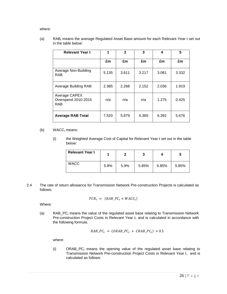where:

(a) RAB<sub>t</sub> means the average Regulated Asset Base amount for each Relevant Year t set out in the table below:

| <b>Relevant Year t</b>                             | 1     | $\mathbf{2}$ | 3     | 4     | 5     |
|----------------------------------------------------|-------|--------------|-------|-------|-------|
|                                                    | £m    | £m           | £m    | £m    | £m    |
| Average Non-Building<br><b>RAB</b>                 | 5.135 | 3.611        | 3.217 | 3.081 | 3.332 |
| <b>Average Building RAB</b>                        | 2.385 | 2.268        | 2.152 | 2.036 | 1.919 |
| Average CAPEX<br>Overspend 2010-2015<br><b>RAB</b> | n/a   | n/a          | n/a   | 1.275 | 0.425 |
| <b>Average RAB Total</b>                           | 7.520 | 5.879        | 5.369 | 6.392 | 5.676 |

- (b)  $WACC<sub>t</sub>$  means:
	- (i) the Weighted Average Cost of Capital for Relevant Year t set out in the table below:

| <b>Relevant Year t</b> |      |      |       | 4     |       |
|------------------------|------|------|-------|-------|-------|
| <b>WACC</b>            | 5.9% | 5.9% | 5.85% | 5.85% | 5.85% |

2.4 The rate of return allowance for Transmission Network Pre-construction Projects is calculated as follows:

$$
PCR_t = (RAB\_PC_t \times WACC_t)
$$

Where:

(a) RAB\_PC $<sub>t</sub>$  means the value of the regulated asset base relating to Transmission Network</sub> Pre-construction Project Costs in Relevant Year t, and is calculated in accordance with the following formula:

$$
RAB_{\perp}PC_t = (ORAB_{\perp}PC_t + CRAB_{\perp}PC_t) \times 0.5
$$

where:

(i) ORAB\_PC $<sub>t</sub>$  means the opening value of the regulated asset base relating to</sub> Transmission Network Pre-construction Project Costs in Relevant Year t, and is calculated as follows: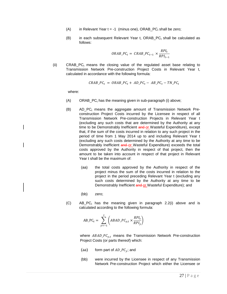- (A) in Relevant Year  $t = -1$  (minus one), ORAB PC, shall be zero;
- $(B)$  in each subsequent Relevant Year t, ORAB PC, shall be calculated as follows:

$$
ORAB\_PC_t = \text{CRAB}\_PC_{t-1} \times \frac{RPI_t}{RPI_{t-1}}
$$

(ii)  $CRAB_PC_t$  means the closing value of the regulated asset base relating to Transmission Network Pre-construction Project Costs in Relevant Year t, calculated in accordance with the following formula:

$$
CRAB\_PC_t = ORAB\_PC_t + AD\_PC_t - AB\_PC_t - TN\_PC_t
$$

where:

- $(A)$  ORAB PC<sub>t</sub> has the meaning given in sub-paragraph (i) above;
- $(B)$  AD PC<sub>t</sub> means the aggregate amount of Transmission Network Preconstruction Project Costs incurred by the Licensee in respect of all Transmission Network Pre-construction Projects in Relevant Year t (excluding any such costs that are determined by the Authority at any time to be Demonstrably Inefficient and or Wasteful Expenditure), except that, if the sum of the costs incurred in relation to any such project in the period of time from 1 May 2014 up to and including Relevant Year t (excluding any such costs determined by the Authority at any time to be Demonstrably Inefficient and or Wasteful Expenditure) exceeds the total costs approved by the Authority in respect of that project, then the amount to be taken into account in respect of that project in Relevant Year t shall be the maximum of:
	- (aa) the total costs approved by the Authority in respect of the project minus the sum of the costs incurred in relation to the project in the period preceding Relevant Year t (excluding any such costs determined by the Authority at any time to be Demonstrably Inefficient and or Wasteful Expenditure); and
	- (bb) zero;
- $(C)$  AB\_PC<sub>t</sub> has the meaning given in paragraph 2.2(i) above and is calculated according to the following formula:

$$
AB\_PC_t = \sum_{y=-1}^{t} \left( ABAD\_PC_{y,t} \times \frac{RPI_t}{RPI_y} \right)
$$

where  $ABAD\_PC_{v,t}$  means the Transmission Network Pre-construction Project Costs (or parts thereof) which:

- (aa) form part of  $AD\_PC_v$ ; and
- (bb) were incurred by the Licensee in respect of any Transmission Network Pre-construction Project which either the Licensee or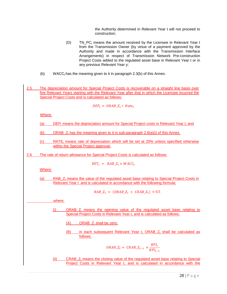the Authority determined in Relevant Year t will not proceed to construction;

- (D)  $TN\_PC_t$  means the amount received by the Licensee in Relevant Year t from the Transmission Owner (by virtue of a payment approved by the Authority and made in accordance with the Transmission Interface Arrangements) in respect of Transmission Network Pre-construction Project Costs added to the regulated asset base in Relevant Year t or in any previous Relevant Year y;
- (b) WACC<sub>t</sub> has the meaning given to it in paragraph 2.3(b) of this Annex.
- 2.5 The depreciation amount for Special Project Costs is recoverable on a straight line basis over five Relevant Years starting with the Relevant Year after that in which the Licensee incurred the Special Project Costs and is calculated as follows:

$$
DEP_t = ORAB_Z_t * Rate_t
$$

Where:

(a) DEP<sub>t</sub> means the depreciation amount for Special Project costs in Relevant Year t; and

(b) ORAB\_ $Z_t$  has the meaning given to it in sub-paragraph 2.6(a)(i) of this Annex.

 $\text{c) }$  RATE<sub>t</sub> means rate of depreciation which will be set at 20% unless specified otherwise within the Special Project approval.

2.6 The rate of return allowance for Special Project Costs is calculated as follows:

$$
RET_t = RAB_z Z_t \times WACC_t
$$

Where:

(a) RAB\_ $Z_t$  means the value of the regulated asset base relating to Special Project Costs in Relevant Year t and is calculated in accordance with the following formula:

$$
RAB_zZ_t = (ORAB_zZ_t + CRAB_zZ_t) \times 0.5
$$

where:

- (i)  $ORAB_Z$  means the opening value of the regulated asset base relating to Special Project Costs in Relevant Year t, and is calculated as follows:
	- $(A)$  ORAB<sub> $Z_t$ </sub> shall be zero;
	- (B) in each subsequent Relevant Year t, ORAB  $Z_t$  shall be calculated as follows:

$$
ORAB\_Z_t = \text{CRAB}\_Z_{t-1} \times \frac{RPI_t}{RPI_{t-1}}
$$

 $(i)$  CRAB  $Z_t$  means the closing value of the regulated asset base relating to Special Project Costs in Relevant Year t, and is calculated in accordance with the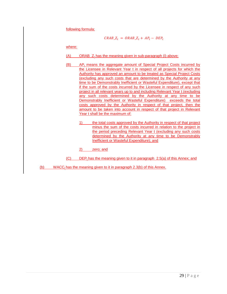following formula:

$$
CRAB\_Z_t = ORAB\_Z_t + AP_t - DEP_t
$$

where:

- $(A)$  ORAB  $Z_t$  has the meaning given in sub-paragraph (i) above;
- $(B)$  AP<sub>t</sub> means the aggregate amount of Special Project Costs incurred by the Licensee in Relevant Year t in respect of all projects for which the Authority has approved an amount to be treated as Special Project Costs (excluding any such costs that are determined by the Authority at any time to be Demonstrably Inefficient or Wasteful Expenditure), except that if the sum of the costs incurred by the Licensee in respect of any such project in all relevant years up to and including Relevant Year t (excluding any such costs determined by the Authority at any time to be Demonstrably Inefficient or Wasteful Expenditure) exceeds the total costs approved by the Authority in respect of that project, then the amount to be taken into account in respect of that project in Relevant Year t shall be the maximum of:
	- 1) the total costs approved by the Authority in respect of that project minus the sum of the costs incurred in relation to the project in the period preceding Relevant Year t (excluding any such costs determined by the Authority at any time to be Demonstrably Inefficient or Wasteful Expenditure); and

2) zero; and

- $(C)$  DEP<sub>t</sub> has the meaning given to it in paragraph 2.5(a) of this Annex; and
- (b) WACC<sub>t</sub> has the meaning given to it in paragraph 2.3(b) of this Annex.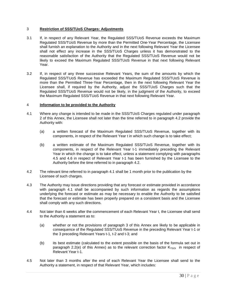#### 3 **Restriction of SSS/TUoS Charges: Adjustments**

- 3.1 If, in respect of any Relevant Year, the Regulated SSS/TUoS Revenue exceeds the Maximum Regulated SSS/TUoS Revenue by more than the Permitted One-Year Percentage, the Licensee shall furnish an explanation to the Authority and in the next following Relevant Year the Licensee shall not effect any increase in the SSS/TUoS Charges unless it has demonstrated to the reasonable satisfaction of the Authority that the Regulated SSS/TUoS Revenue would not be likely to exceed the Maximum Regulated SSS/TUoS Revenue in that next following Relevant Year.
- 3.2 If, in respect of any three successive Relevant Years, the sum of the amounts by which the Regulated SSS/TUoS Revenue has exceeded the Maximum Regulated SSS/TUoS Revenue is more than the Permitted Three-Year Percentage, then in the next following Relevant Year the Licensee shall, if required by the Authority, adjust the SSS/TUoS Charges such that the Regulated SSS/TUoS Revenue would not be likely, in the judgment of the Authority, to exceed the Maximum Regulated SSS/TUoS Revenue in that next following Relevant Year.

#### 4 **Information to be provided to the Authority**

- 4.1 Where any change is intended to be made in the SSS/TUoS Charges regulated under paragraph 2 of this Annex, the Licensee shall not later than the time referred to in paragraph 4.2 provide the Authority with:
	- (a) a written forecast of the Maximum Regulated SSS/TUoS Revenue, together with its components, in respect of the Relevant Year t in which such change is to take effect;
	- (b) a written estimate of the Maximum Regulated SSS/TUoS Revenue, together with its components, in respect of the Relevant Year t-1 immediately preceding the Relevant Year in which the change is to take effect, unless a statement complying with paragraphs 4.5 and 4.6 in respect of Relevant Year t-1 has been furnished by the Licensee to the Authority before the time referred to in paragraph 4.2.
- 4.2 The relevant time referred to in paragraph 4.1 shall be 1 month prior to the publication by the Licensee of such charges.
- 4.3 The Authority may issue directions providing that any forecast or estimate provided in accordance with paragraph 4.1 shall be accompanied by such information as regards the assumptions underlying the forecast or estimate as may be necessary to enable the Authority to be satisfied that the forecast or estimate has been properly prepared on a consistent basis and the Licensee shall comply with any such directions.
- 4.4 Not later than 6 weeks after the commencement of each Relevant Year t, the Licensee shall send to the Authority a statement as to:
	- (a) whether or not the provisions of paragraph 3 of this Annex are likely to be applicable in consequence of the Regulated SSS/TUoS Revenue in the preceding Relevant Year t-1 or the 3 preceding Relevant Years t-1, t-2 and t-3; and
	- (b) its best estimate (calculated to the extent possible on the basis of the formula set out in paragraph 2.2(e) of this Annex) as to the relevant correction factor  $K_{TSOt}$  in respect of Relevant Year t-1.
- 4.5 Not later than 3 months after the end of each Relevant Year the Licensee shall send to the Authority a statement, in respect of that Relevant Year, which includes: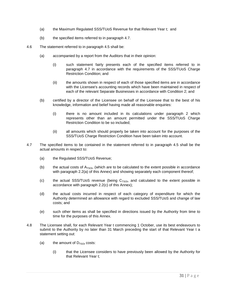- (a) the Maximum Regulated SSS/TUoS Revenue for that Relevant Year t; and
- (b) the specified items referred to in paragraph 4.7.
- 4.6 The statement referred to in paragraph 4.5 shall be:
	- (a) accompanied by a report from the Auditors that in their opinion:
		- (i) such statement fairly presents each of the specified items referred to in paragraph 4.7 in accordance with the requirements of the SSS/TUoS Charge Restriction Condition; and
		- (ii) the amounts shown in respect of each of those specified items are in accordance with the Licensee's accounting records which have been maintained in respect of each of the relevant Separate Businesses in accordance with Condition 2; and
	- (b) certified by a director of the Licensee on behalf of the Licensee that to the best of his knowledge, information and belief having made all reasonable enquiries:
		- (i) there is no amount included in its calculations under paragraph 2 which represents other than an amount permitted under the SSS/TUoS Charge Restriction Condition to be so included;
		- (ii) all amounts which should properly be taken into account for the purposes of the SSS/TUoS Charge Restriction Condition have been taken into account.
- 4.7 The specified items to be contained in the statement referred to in paragraph 4.5 shall be the actual amounts in respect to:
	- (a) the Regulated SSS/TUoS Revenue;
	- (b) the actual costs of  $A_{TSOt}$ , (which are to be calculated to the extent possible in accordance with paragraph 2.2(a) of this Annex) and showing separately each component thereof;
	- (c) the actual SSS/TUoS revenue (being  $C_{TSOt}$ , and calculated to the extent possible in accordance with paragraph 2.2(c) of this Annex);
	- (d) the actual costs incurred in respect of each category of expenditure for which the Authority determined an allowance with regard to excluded SSS/TUoS and change of law costs; and
	- (e) such other items as shall be specified in directions issued by the Authority from time to time for the purposes of this Annex.
- 4.8 The Licensee shall, for each Relevant Year t commencing 1 October, use its best endeavours to submit to the Authority by no later than 31 March preceding the start of that Relevant Year t a statement setting out:
	- (a) the amount of  $D_{TSOt}$  costs:
		- (i) that the Licensee considers to have previously been allowed by the Authority for that Relevant Year t;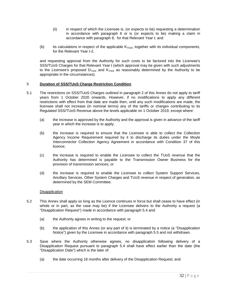- (ii) in respect of which the Licensee is, (or expects to be) requesting a determination in accordance with paragraph 6 or is (or expects to be) making a claim in accordance with paragraph 8, for that Relevant Year t; and
- (b) its calculations in respect of the applicable  $K<sub>TSOt</sub>$ , together with its individual components, for the Relevant Year t-2,

and requesting approval from the Authority for such costs to be factored into the Licensee's SSS/TUoS Charges for that Relevant Year t (which approval may be given with such adjustments to the Licensee's proposed  $D_{TSOt}$  and  $K_{TSOt}$  as reasonably determined by the Authority to be appropriate in the circumstances).

#### 5 **Duration of SSS/TUoS Charge Restriction Condition**

- 5.1 The restrictions on SSS/TUoS Charges outlined in paragraph 2 of this Annex do not apply to tariff years from 1 October 2020 onwards. However, if no modifications to apply any different restrictions with effect from that date are made then, until any such modifications are made, the licensee shall not increase (in nominal terms) any of the tariffs or charges contributing to its Regulated SSS/TUoS Revenue above the levels applicable on 1 October 2019, except where:
	- (a) the increase is approved by the Authority and the approval is given in advance of the tariff year in which the increase is to apply;
	- (b) the increase is required to ensure that the Licensee is able to collect the Collection Agency Income Requirement required by it to discharge its duties under the Moyle Interconnector Collection Agency Agreement in accordance with Condition 37 of this licence;
	- (c) the increase is required to enable the Licensee to collect the TUoS revenue that the Authority has determined is payable to the Transmission Owner Business for the provision of transmission services; or
	- (d) the increase is required to enable the Licensee to collect System Support Services, Ancillary Services, Other System Charges and TUoS revenue in respect of generation, as determined by the SEM Committee.

#### **Disapplication**

- 5.2 This Annex shall apply so long as the Licence continues in force but shall cease to have effect (in whole or in part, as the case may be) if the Licensee delivers to the Authority a request (a "Disapplication Request") made in accordance with paragraph 5.4 and:
	- (a) the Authority agrees in writing to the request; or
	- (b) the application of this Annex (or any part of it) is terminated by a notice (a "Disapplication Notice") given by the Licensee in accordance with paragraph 5.5 and not withdrawn.
- 5.3 Save where the Authority otherwise agrees, no disapplication following delivery of a Disapplication Request pursuant to paragraph 5.4 shall have effect earlier than the date (the "Disapplication Date") which is the later of:
	- (a) the date occurring 18 months after delivery of the Disapplication Request; and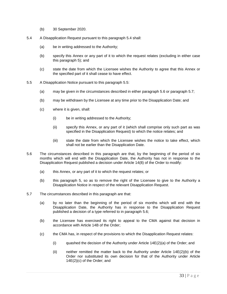- (b) 30 September 2020.
- 5.4 A Disapplication Request pursuant to this paragraph 5.4 shall:
	- (a) be in writing addressed to the Authority;
	- (b) specify this Annex or any part of it to which the request relates (excluding in either case this paragraph 5); and
	- (c) state the date from which the Licensee wishes the Authority to agree that this Annex or the specified part of it shall cease to have effect.
- 5.5 A Disapplication Notice pursuant to this paragraph 5.5:
	- (a) may be given in the circumstances described in either paragraph 5.6 or paragraph 5.7;
	- (b) may be withdrawn by the Licensee at any time prior to the Disapplication Date; and
	- (c) where it is given, shall:
		- (i) be in writing addressed to the Authority;
		- (ii) specify this Annex, or any part of it (which shall comprise only such part as was specified in the Disapplication Request) to which the notice relates; and
		- (iii) state the date from which the Licensee wishes the notice to take effect, which shall not be earlier than the Disapplication Date.
- 5.6 The circumstances described in this paragraph are that, by the beginning of the period of six months which will end with the Disapplication Date, the Authority has not in response to the Disapplication Request published a decision under Article 14(8) of the Order to modify:
	- (a) this Annex, or any part of it to which the request relates; or
	- (b) this paragraph 5, so as to remove the right of the Licensee to give to the Authority a Disapplication Notice in respect of the relevant Disapplication Request.
- 5.7 The circumstances described in this paragraph are that:
	- (a) by no later than the beginning of the period of six months which will end with the Disapplication Date, the Authority has in response to the Disapplication Request published a decision of a type referred to in paragraph 5.6;
	- (b) the Licensee has exercised its right to appeal to the CMA against that decision in accordance with Article 14B of the Order;
	- (c) the CMA has, in respect of the provisions to which the Disapplication Request relates:
		- (i) quashed the decision of the Authority under Article  $14E(2)(a)$  of the Order; and
		- (ii) neither remitted the matter back to the Authority under Article 14E(2)(b) of the Order nor substituted its own decision for that of the Authority under Article 14E(2)(c) of the Order; and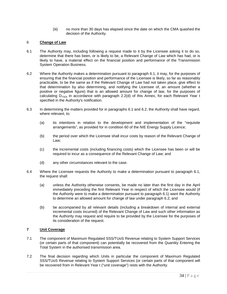(iii) no more than 30 days has elapsed since the date on which the CMA quashed the decision of the Authority.

#### 6 **Change of Law**

- 6.1 The Authority may, including following a request made to it by the Licensee asking it to do so, determine that there has been, or is likely to be, a Relevant Change of Law which has had, or is likely to have, a material effect on the financial position and performance of the Transmission System Operation Business.
- 6.2 Where the Authority makes a determination pursuant to paragraph 6.1, it may, for the purposes of ensuring that the financial position and performance of the Licensee is likely, so far as reasonably practicable, to be the same as if the Relevant Change of Law had not taken place, give effect to that determination by also determining, and notifying the Licensee of, an amount (whether a positive or negative figure) that is an allowed amount for change of law, for the purposes of calculating  $D_{TSOt}$  in accordance with paragraph 2.2(d) of this Annex, for each Relevant Year t specified in the Authority's notification.
- 6.3 In determining the matters provided for in paragraphs 6.1 and 6.2, the Authority shall have regard, where relevant, to:
	- (a) its intentions in relation to the development and implementation of the "requisite arrangements", as provided for in condition 60 of the NIE Energy Supply Licence;
	- (b) the period over which the Licensee shall incur costs by reason of the Relevant Change of Law;
	- (c) the incremental costs (including financing costs) which the Licensee has been or will be required to incur as a consequence of the Relevant Change of Law; and
	- (d) any other circumstances relevant to the case.
- 6.4 Where the Licensee requests the Authority to make a determination pursuant to paragraph 6.1, the request shall:
	- (a) unless the Authority otherwise consents, be made no later than the first day in the April immediately preceding the first Relevant Year in respect of which the Licensee would (if the Authority were to make a determination pursuant to paragraph 6.1) want the Authority to determine an allowed amount for change of law under paragraph 6.2; and
	- (b) be accompanied by all relevant details (including a breakdown of internal and external incremental costs incurred) of the Relevant Change of Law and such other information as the Authority may request and require to be provided by the Licensee for the purposes of its consideration of the request.

#### **7 Unit Coverage**

- 7.1 The component of Maximum Regulated SSS/TUoS Revenue relating to System Support Services (or certain parts of that component) can potentially be recovered from the Quantity Entering the Total System in the authorised transmission area.
- 7.2 The final decision regarding which Units in particular the component of Maximum Regulated SSS/TUoS Revenue relating to System Support Services (or certain parts of that component will be recovered from in Relevant Year t ("unit coverage") rests with the Authority.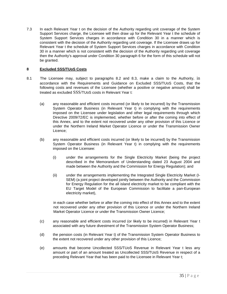7.3 In each Relevant Year t on the decision of the Authority regarding unit coverage of the System Support Services charge, the Licensee will then draw up for the Relevant Year t the schedule of System Support Services charges in accordance with Condition 30 in a manner which is consistent with the decision of the Authority regarding unit coverage. If the Licensee draws up for Relevant Year t the schedule of System Support Services charges in accordance with Condition 30 in a manner which is not consistent with the decision of the Authority regarding unit coverage then the Authority's approval under Condition 30 paragraph 6 for the form of this schedule will not be granted.

#### **8 Excluded SSS/TUoS Costs**

- 8.1 The Licensee may, subject to paragraphs 8.2 and 8.3, make a claim to the Authority, in accordance with the Requirements and Guidance on Excluded SSS/TUoS Costs, that the following costs and revenues of the Licensee (whether a positive or negative amount) shall be treated as excluded SSS/TUoS costs in Relevant Year t:
	- (a) any reasonable and efficient costs incurred (or likely to be incurred) by the Transmission System Operator Business (in Relevant Year t) in complying with the requirements imposed on the Licensee under legislation and other legal requirements through which Directive 2009/72/EC is implemented, whether before or after the coming into effect of this Annex, and to the extent not recovered under any other provision of this Licence or under the Northern Ireland Market Operator Licence or under the Transmission Owner Licence;
	- (b) any reasonable and efficient costs incurred (or likely to be incurred) by the Transmission System Operator Business (in Relevant Year t) in complying with the requirements imposed on the Licensee:
		- (i) under the arrangements for the Single Electricity Market (being the project described in the Memorandum of Understanding dated 23 August 2004 and made between the Authority and the Commission for Energy Regulation); and
		- (ii) under the arrangements implementing the Integrated Single Electricity Market (I-SEM) (a joint project developed jointly between the Authority and the Commission for Energy Regulation for the all island electricity market to be compliant with the EU Target Model of the European Commission to facilitate a pan-European electricity market),

in each case whether before or after the coming into effect of this Annex and to the extent not recovered under any other provision of this Licence or under the Northern Ireland Market Operator Licence or under the Transmission Owner Licence;

- (c) any reasonable and efficient costs incurred (or likely to be incurred) in Relevant Year t associated with any future divestment of the Transmission System Operator Business;
- (d) the pension costs (in Relevant Year t) of the Transmission System Operator Business to the extent not recovered under any other provision of this Licence;
- (e) amounts that become Uncollected SSS/TUoS Revenue in Relevant Year t less any amount or part of an amount treated as Uncollected SSS/TUoS Revenue in respect of a preceding Relevant Year that has been paid to the Licensee in Relevant Year t;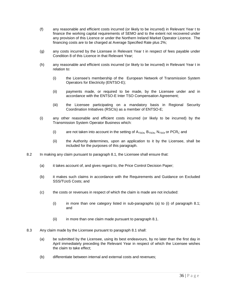- (f) any reasonable and efficient costs incurred (or likely to be incurred) in Relevant Year t to finance the working capital requirements of SEMO and to the extent not recovered under any provision of this Licence or under the Northern Ireland Market Operator Licence. The financing costs are to be charged at Average Specified Rate plus 2%;
- (g) any costs incurred by the Licensee in Relevant Year t in respect of fees payable under Condition 8 of this Licence in that Relevant Year;
- (h) any reasonable and efficient costs incurred (or likely to be incurred) in Relevant Year t in relation to:
	- (i) the Licensee's membership of the European Network of Transmission System Operators for Electricity (ENTSO-E);
	- (ii) payments made, or required to be made, by the Licensee under and in accordance with the ENTSO-E Inter TSO Compensation Agreement;
	- (iii) the Licensee participating on a mandatory basis in Regional Security Coordination Initiatives (RSCIs) as a member of ENTSO-E;
- (i) any other reasonable and efficient costs incurred (or likely to be incurred) by the Transmission System Operator Business which:
	- (i) are not taken into account in the setting of  $A_{TSOt}$ ,  $B_{TSOt}$ ,  $N_{TSOt}$  or PCR<sub>t</sub>; and
	- (ii) the Authority determines, upon an application to it by the Licensee, shall be included for the purposes of this paragraph.
- 8.2 In making any claim pursuant to paragraph 8.1, the Licensee shall ensure that:
	- (a) it takes account of, and gives regard to, the Price Control Decision Paper;
	- (b) it makes such claims in accordance with the Requirements and Guidance on Excluded SSS/TUoS Costs; and
	- (c) the costs or revenues in respect of which the claim is made are not included:
		- (i) in more than one category listed in sub-paragraphs (a) to (i) of paragraph 8.1; and
		- (ii) in more than one claim made pursuant to paragraph 8.1.
- 8.3 Any claim made by the Licensee pursuant to paragraph 8.1 shall:
	- (a) be submitted by the Licensee, using its best endeavours, by no later than the first day in April immediately preceding the Relevant Year in respect of which the Licensee wishes the claim to take effect;
	- (b) differentiate between internal and external costs and revenues;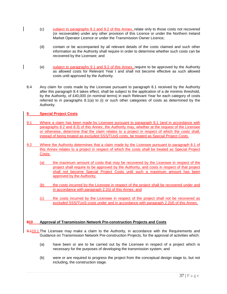- (c) subject to paragraphs 9.1 and 9.2 of this Annex, relate only to those costs not recovered (or recoverable) under any other provision of this Licence or under the Northern Ireland Market Operator Licence or under the Transmission Owner Licence;
- (d) contain or be accompanied by all relevant details of the costs claimed and such other information as the Authority shall require in order to determine whether such costs can be recovered by the Licensee; and
- (e) subject to paragraphs 9.1 and 9.2 of this Annex, require to be approved by the Authority as allowed costs for Relevant Year t and shall not become effective as such allowed costs until approved by the Authority.
- 8.4 Any claim for costs made by the Licensee pursuant to paragraph 8.1 received by the Authority after this paragraph 8.4 takes effect, shall be subject to the application of a de minimis threshold, by the Authority, of £40,000 (in nominal terms) in each Relevant Year for each category of costs referred to in paragraphs 8.1(a) to (i) or such other categories of costs as determined by the Authority.

#### **9 Special Project Costs**

- 9.1 Where a claim has been made by Licensee pursuant to paragraph 8.1 (and in accordance with paragraphs 8.2 and 8.3) of this Annex, the Authority may, whether at the request of the Licensee or otherwise, determine that the claim relates to a project in respect of which the costs shall, instead of being treated as excluded SSS/TUoS costs, be treated as Special Project Costs.
- 9.2 Where the Authority determines that a claim made by the Licensee pursuant to paragraph 8.1 of this Annex relates to a project in respect of which the costs shall be treated as Special Project Costs:
	- (a) the maximum amount of costs that may be recovered by the Licensee in respect of the project shall require to be approved by the Authority, and costs in respect of that project shall not become Special Project Costs until such a maximum amount has been approved by the Authority;
	- (b) the costs incurred by the Licensee in respect of the project shall be recovered under and in accordance with paragraph 2.2(j) of this Annex; and
	- (c) the costs incurred by the Licensee in respect of the project shall not be recovered as excluded SSS/TUoS costs under and in accordance with paragraph 2.2(d) of this Annex.

#### **910 Approval of Transmission Network Pre-construction Projects and Costs**

- 9.110.1 The Licensee may make a claim to the Authority, in accordance with the Requirements and Guidance on Transmission Network Pre-construction Projects, for the approval of activities which:
	- (a) have been or are to be carried out by the Licensee in respect of a project which is necessary for the purposes of developing the transmission system; and
	- (b) were or are required to progress the project from the conceptual design stage to, but not including, the construction stage.